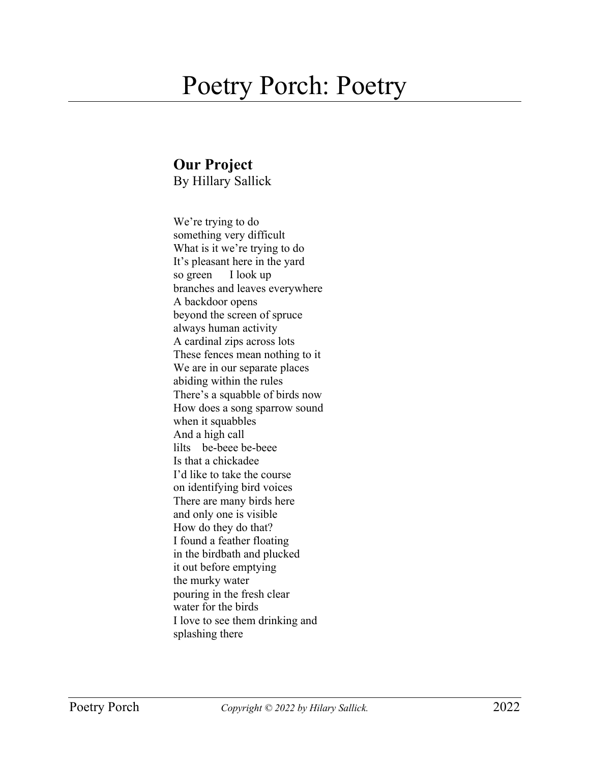## Poetry Porch: Poetry

## **Our Project**

By Hillary Sallick

We're trying to do something very difficult What is it we're trying to do It's pleasant here in the yard so green I look up branches and leaves everywhere A backdoor opens beyond the screen of spruce always human activity A cardinal zips across lots These fences mean nothing to it We are in our separate places abiding within the rules There's a squabble of birds now How does a song sparrow sound when it squabbles And a high call lilts be-beee be-beee Is that a chickadee I'd like to take the course on identifying bird voices There are many birds here and only one is visible How do they do that? I found a feather floating in the birdbath and plucked it out before emptying the murky water pouring in the fresh clear water for the birds I love to see them drinking and splashing there